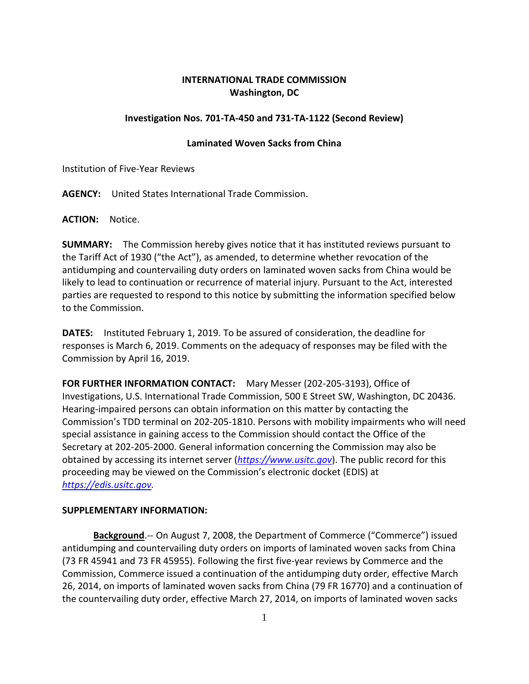## **INTERNATIONAL TRADE COMMISSION Washington, DC**

## **Investigation Nos. 701-TA-450 and 731-TA-1122 (Second Review)**

## **Laminated Woven Sacks from China**

Institution of Five-Year Reviews

**AGENCY:** United States International Trade Commission.

**ACTION:** Notice.

**SUMMARY:** The Commission hereby gives notice that it has instituted reviews pursuant to the Tariff Act of 1930 ("the Act"), as amended, to determine whether revocation of the antidumping and countervailing duty orders on laminated woven sacks from China would be likely to lead to continuation or recurrence of material injury. Pursuant to the Act, interested parties are requested to respond to this notice by submitting the information specified below to the Commission.

**DATES:** Instituted February 1, 2019. To be assured of consideration, the deadline for responses is March 6, 2019. Comments on the adequacy of responses may be filed with the Commission by April 16, 2019.

**FOR FURTHER INFORMATION CONTACT:** Mary Messer (202-205-3193), Office of Investigations, U.S. International Trade Commission, 500 E Street SW, Washington, DC 20436. Hearing-impaired persons can obtain information on this matter by contacting the Commission's TDD terminal on 202-205-1810. Persons with mobility impairments who will need special assistance in gaining access to the Commission should contact the Office of the Secretary at 202-205-2000. General information concerning the Commission may also be obtained by accessing its internet server (*[https://www.usitc.gov](https://www.usitc.gov/)*). The public record for this proceeding may be viewed on the Commission's electronic docket (EDIS) at *[https://edis.usitc.gov.](https://edis.usitc.gov/)*

## **SUPPLEMENTARY INFORMATION:**

**Background**.-- On August 7, 2008, the Department of Commerce ("Commerce") issued antidumping and countervailing duty orders on imports of laminated woven sacks from China (73 FR 45941 and 73 FR 45955). Following the first five-year reviews by Commerce and the Commission, Commerce issued a continuation of the antidumping duty order, effective March 26, 2014, on imports of laminated woven sacks from China (79 FR 16770) and a continuation of the countervailing duty order, effective March 27, 2014, on imports of laminated woven sacks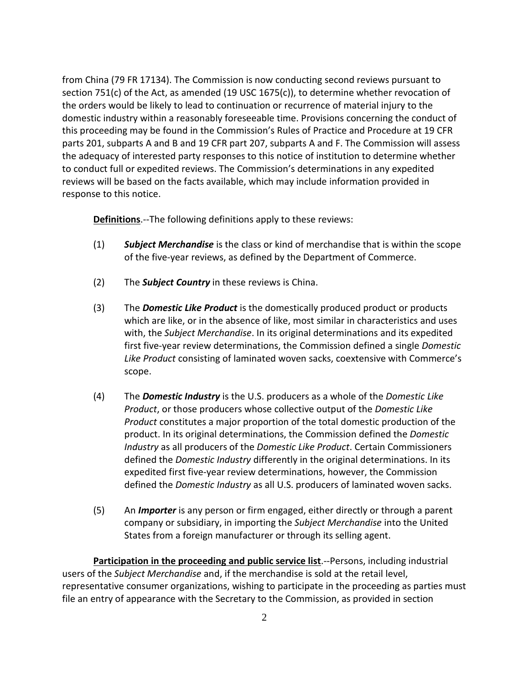from China (79 FR 17134). The Commission is now conducting second reviews pursuant to section 751(c) of the Act, as amended (19 USC 1675(c)), to determine whether revocation of the orders would be likely to lead to continuation or recurrence of material injury to the domestic industry within a reasonably foreseeable time. Provisions concerning the conduct of this proceeding may be found in the Commission's Rules of Practice and Procedure at 19 CFR parts 201, subparts A and B and 19 CFR part 207, subparts A and F. The Commission will assess the adequacy of interested party responses to this notice of institution to determine whether to conduct full or expedited reviews. The Commission's determinations in any expedited reviews will be based on the facts available, which may include information provided in response to this notice.

**Definitions**.--The following definitions apply to these reviews:

- (1) *Subject Merchandise* is the class or kind of merchandise that is within the scope of the five-year reviews, as defined by the Department of Commerce.
- (2) The *Subject Country* in these reviews is China.
- (3) The *Domestic Like Product* is the domestically produced product or products which are like, or in the absence of like, most similar in characteristics and uses with, the *Subject Merchandise*. In its original determinations and its expedited first five-year review determinations, the Commission defined a single *Domestic Like Product* consisting of laminated woven sacks, coextensive with Commerce's scope.
- (4) The *Domestic Industry* is the U.S. producers as a whole of the *Domestic Like Product*, or those producers whose collective output of the *Domestic Like Product* constitutes a major proportion of the total domestic production of the product. In its original determinations, the Commission defined the *Domestic Industry* as all producers of the *Domestic Like Product*. Certain Commissioners defined the *Domestic Industry* differently in the original determinations. In its expedited first five-year review determinations, however, the Commission defined the *Domestic Industry* as all U.S. producers of laminated woven sacks.
- (5) An *Importer* is any person or firm engaged, either directly or through a parent company or subsidiary, in importing the *Subject Merchandise* into the United States from a foreign manufacturer or through its selling agent.

**Participation in the proceeding and public service list**.--Persons, including industrial users of the *Subject Merchandise* and, if the merchandise is sold at the retail level, representative consumer organizations, wishing to participate in the proceeding as parties must file an entry of appearance with the Secretary to the Commission, as provided in section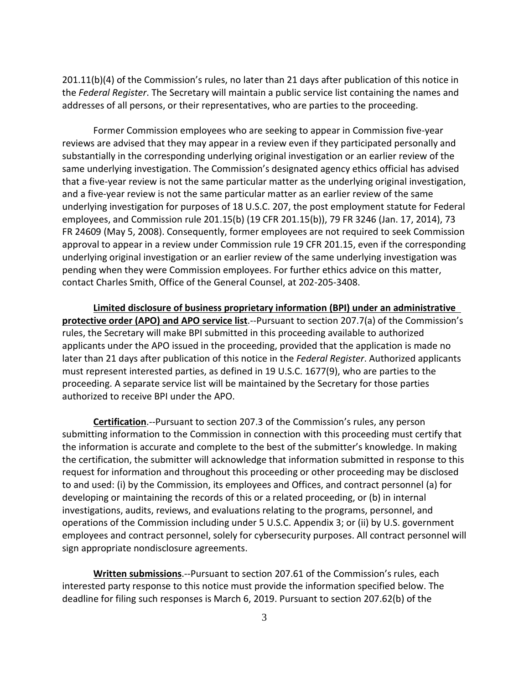201.11(b)(4) of the Commission's rules, no later than 21 days after publication of this notice in the *Federal Register*. The Secretary will maintain a public service list containing the names and addresses of all persons, or their representatives, who are parties to the proceeding.

Former Commission employees who are seeking to appear in Commission five-year reviews are advised that they may appear in a review even if they participated personally and substantially in the corresponding underlying original investigation or an earlier review of the same underlying investigation. The Commission's designated agency ethics official has advised that a five-year review is not the same particular matter as the underlying original investigation, and a five-year review is not the same particular matter as an earlier review of the same underlying investigation for purposes of 18 U.S.C. 207, the post employment statute for Federal employees, and Commission rule 201.15(b) (19 CFR 201.15(b)), 79 FR 3246 (Jan. 17, 2014), 73 FR 24609 (May 5, 2008). Consequently, former employees are not required to seek Commission approval to appear in a review under Commission rule 19 CFR 201.15, even if the corresponding underlying original investigation or an earlier review of the same underlying investigation was pending when they were Commission employees. For further ethics advice on this matter, contact Charles Smith, Office of the General Counsel, at 202-205-3408.

**Limited disclosure of business proprietary information (BPI) under an administrative protective order (APO) and APO service list**.--Pursuant to section 207.7(a) of the Commission's rules, the Secretary will make BPI submitted in this proceeding available to authorized applicants under the APO issued in the proceeding, provided that the application is made no later than 21 days after publication of this notice in the *Federal Register*. Authorized applicants must represent interested parties, as defined in 19 U.S.C. 1677(9), who are parties to the proceeding. A separate service list will be maintained by the Secretary for those parties authorized to receive BPI under the APO.

**Certification**.--Pursuant to section 207.3 of the Commission's rules, any person submitting information to the Commission in connection with this proceeding must certify that the information is accurate and complete to the best of the submitter's knowledge. In making the certification, the submitter will acknowledge that information submitted in response to this request for information and throughout this proceeding or other proceeding may be disclosed to and used: (i) by the Commission, its employees and Offices, and contract personnel (a) for developing or maintaining the records of this or a related proceeding, or (b) in internal investigations, audits, reviews, and evaluations relating to the programs, personnel, and operations of the Commission including under 5 U.S.C. Appendix 3; or (ii) by U.S. government employees and contract personnel, solely for cybersecurity purposes. All contract personnel will sign appropriate nondisclosure agreements.

**Written submissions**.--Pursuant to section 207.61 of the Commission's rules, each interested party response to this notice must provide the information specified below. The deadline for filing such responses is March 6, 2019. Pursuant to section 207.62(b) of the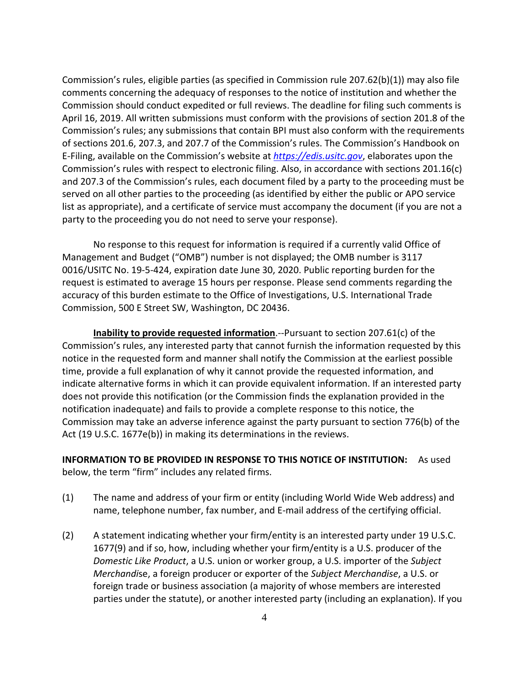Commission's rules, eligible parties (as specified in Commission rule 207.62(b)(1)) may also file comments concerning the adequacy of responses to the notice of institution and whether the Commission should conduct expedited or full reviews. The deadline for filing such comments is April 16, 2019. All written submissions must conform with the provisions of section 201.8 of the Commission's rules; any submissions that contain BPI must also conform with the requirements of sections 201.6, 207.3, and 207.7 of the Commission's rules. The Commission's Handbook on E-Filing, available on the Commission's website at *[https://edis.usitc.gov](https://edis.usitc.gov/)*, elaborates upon the Commission's rules with respect to electronic filing. Also, in accordance with sections 201.16(c) and 207.3 of the Commission's rules, each document filed by a party to the proceeding must be served on all other parties to the proceeding (as identified by either the public or APO service list as appropriate), and a certificate of service must accompany the document (if you are not a party to the proceeding you do not need to serve your response).

No response to this request for information is required if a currently valid Office of Management and Budget ("OMB") number is not displayed; the OMB number is 3117 0016/USITC No. 19-5-424, expiration date June 30, 2020. Public reporting burden for the request is estimated to average 15 hours per response. Please send comments regarding the accuracy of this burden estimate to the Office of Investigations, U.S. International Trade Commission, 500 E Street SW, Washington, DC 20436.

**Inability to provide requested information**.--Pursuant to section 207.61(c) of the Commission's rules, any interested party that cannot furnish the information requested by this notice in the requested form and manner shall notify the Commission at the earliest possible time, provide a full explanation of why it cannot provide the requested information, and indicate alternative forms in which it can provide equivalent information. If an interested party does not provide this notification (or the Commission finds the explanation provided in the notification inadequate) and fails to provide a complete response to this notice, the Commission may take an adverse inference against the party pursuant to section 776(b) of the Act (19 U.S.C. 1677e(b)) in making its determinations in the reviews.

**INFORMATION TO BE PROVIDED IN RESPONSE TO THIS NOTICE OF INSTITUTION:** As used below, the term "firm" includes any related firms.

- (1) The name and address of your firm or entity (including World Wide Web address) and name, telephone number, fax number, and E-mail address of the certifying official.
- (2) A statement indicating whether your firm/entity is an interested party under 19 U.S.C. 1677(9) and if so, how, including whether your firm/entity is a U.S. producer of the *Domestic Like Product*, a U.S. union or worker group, a U.S. importer of the *Subject Merchandi*se, a foreign producer or exporter of the *Subject Merchandise*, a U.S. or foreign trade or business association (a majority of whose members are interested parties under the statute), or another interested party (including an explanation). If you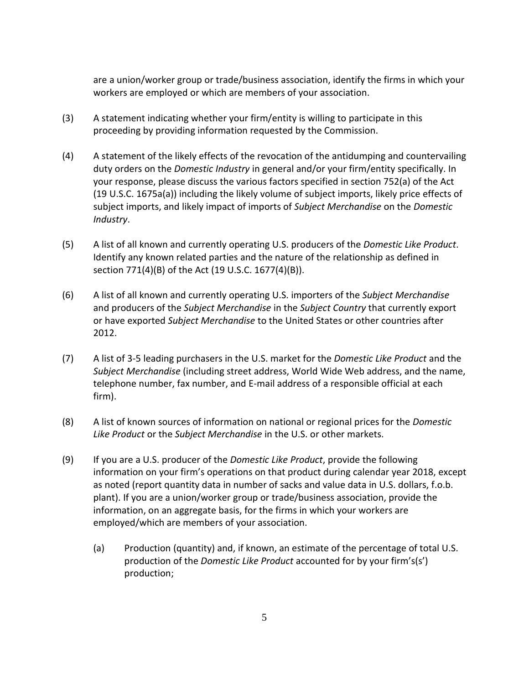are a union/worker group or trade/business association, identify the firms in which your workers are employed or which are members of your association.

- (3) A statement indicating whether your firm/entity is willing to participate in this proceeding by providing information requested by the Commission.
- (4) A statement of the likely effects of the revocation of the antidumping and countervailing duty orders on the *Domestic Industry* in general and/or your firm/entity specifically. In your response, please discuss the various factors specified in section 752(a) of the Act (19 U.S.C. 1675a(a)) including the likely volume of subject imports, likely price effects of subject imports, and likely impact of imports of *Subject Merchandise* on the *Domestic Industry*.
- (5) A list of all known and currently operating U.S. producers of the *Domestic Like Product*. Identify any known related parties and the nature of the relationship as defined in section 771(4)(B) of the Act (19 U.S.C. 1677(4)(B)).
- (6) A list of all known and currently operating U.S. importers of the *Subject Merchandise* and producers of the *Subject Merchandise* in the *Subject Country* that currently export or have exported *Subject Merchandise* to the United States or other countries after 2012.
- (7) A list of 3-5 leading purchasers in the U.S. market for the *Domestic Like Product* and the *Subject Merchandise* (including street address, World Wide Web address, and the name, telephone number, fax number, and E-mail address of a responsible official at each firm).
- (8) A list of known sources of information on national or regional prices for the *Domestic Like Product* or the *Subject Merchandise* in the U.S. or other markets.
- (9) If you are a U.S. producer of the *Domestic Like Product*, provide the following information on your firm's operations on that product during calendar year 2018, except as noted (report quantity data in number of sacks and value data in U.S. dollars, f.o.b. plant). If you are a union/worker group or trade/business association, provide the information, on an aggregate basis, for the firms in which your workers are employed/which are members of your association.
	- (a) Production (quantity) and, if known, an estimate of the percentage of total U.S. production of the *Domestic Like Product* accounted for by your firm's(s') production;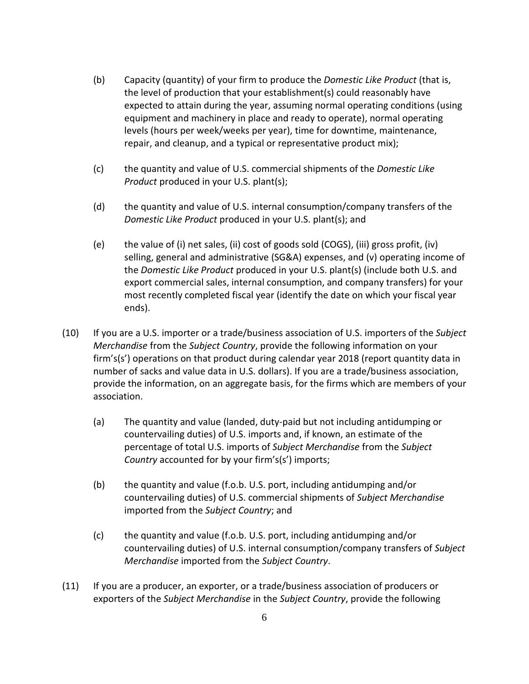- (b) Capacity (quantity) of your firm to produce the *Domestic Like Product* (that is, the level of production that your establishment(s) could reasonably have expected to attain during the year, assuming normal operating conditions (using equipment and machinery in place and ready to operate), normal operating levels (hours per week/weeks per year), time for downtime, maintenance, repair, and cleanup, and a typical or representative product mix);
- (c) the quantity and value of U.S. commercial shipments of the *Domestic Like Product* produced in your U.S. plant(s);
- (d) the quantity and value of U.S. internal consumption/company transfers of the *Domestic Like Product* produced in your U.S. plant(s); and
- (e) the value of (i) net sales, (ii) cost of goods sold (COGS), (iii) gross profit, (iv) selling, general and administrative (SG&A) expenses, and (v) operating income of the *Domestic Like Product* produced in your U.S. plant(s) (include both U.S. and export commercial sales, internal consumption, and company transfers) for your most recently completed fiscal year (identify the date on which your fiscal year ends).
- (10) If you are a U.S. importer or a trade/business association of U.S. importers of the *Subject Merchandise* from the *Subject Country*, provide the following information on your firm's(s') operations on that product during calendar year 2018 (report quantity data in number of sacks and value data in U.S. dollars). If you are a trade/business association, provide the information, on an aggregate basis, for the firms which are members of your association.
	- (a) The quantity and value (landed, duty-paid but not including antidumping or countervailing duties) of U.S. imports and, if known, an estimate of the percentage of total U.S. imports of *Subject Merchandise* from the *Subject Country* accounted for by your firm's(s') imports;
	- (b) the quantity and value (f.o.b. U.S. port, including antidumping and/or countervailing duties) of U.S. commercial shipments of *Subject Merchandise* imported from the *Subject Country*; and
	- (c) the quantity and value (f.o.b. U.S. port, including antidumping and/or countervailing duties) of U.S. internal consumption/company transfers of *Subject Merchandise* imported from the *Subject Country*.
- (11) If you are a producer, an exporter, or a trade/business association of producers or exporters of the *Subject Merchandise* in the *Subject Country*, provide the following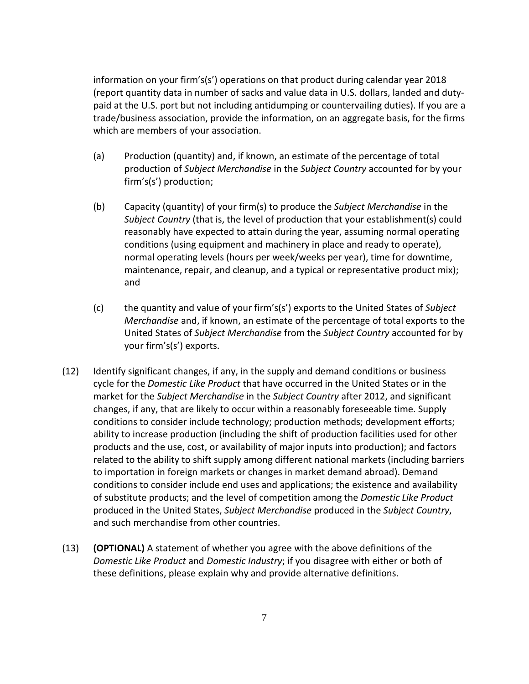information on your firm's(s') operations on that product during calendar year 2018 (report quantity data in number of sacks and value data in U.S. dollars, landed and dutypaid at the U.S. port but not including antidumping or countervailing duties). If you are a trade/business association, provide the information, on an aggregate basis, for the firms which are members of your association.

- (a) Production (quantity) and, if known, an estimate of the percentage of total production of *Subject Merchandise* in the *Subject Country* accounted for by your firm's(s') production;
- (b) Capacity (quantity) of your firm(s) to produce the *Subject Merchandise* in the *Subject Country* (that is, the level of production that your establishment(s) could reasonably have expected to attain during the year, assuming normal operating conditions (using equipment and machinery in place and ready to operate), normal operating levels (hours per week/weeks per year), time for downtime, maintenance, repair, and cleanup, and a typical or representative product mix); and
- (c) the quantity and value of your firm's(s') exports to the United States of *Subject Merchandise* and, if known, an estimate of the percentage of total exports to the United States of *Subject Merchandise* from the *Subject Country* accounted for by your firm's(s') exports.
- (12) Identify significant changes, if any, in the supply and demand conditions or business cycle for the *Domestic Like Product* that have occurred in the United States or in the market for the *Subject Merchandise* in the *Subject Country* after 2012, and significant changes, if any, that are likely to occur within a reasonably foreseeable time. Supply conditions to consider include technology; production methods; development efforts; ability to increase production (including the shift of production facilities used for other products and the use, cost, or availability of major inputs into production); and factors related to the ability to shift supply among different national markets (including barriers to importation in foreign markets or changes in market demand abroad). Demand conditions to consider include end uses and applications; the existence and availability of substitute products; and the level of competition among the *Domestic Like Product* produced in the United States, *Subject Merchandise* produced in the *Subject Country*, and such merchandise from other countries.
- (13) **(OPTIONAL)** A statement of whether you agree with the above definitions of the *Domestic Like Product* and *Domestic Industry*; if you disagree with either or both of these definitions, please explain why and provide alternative definitions.